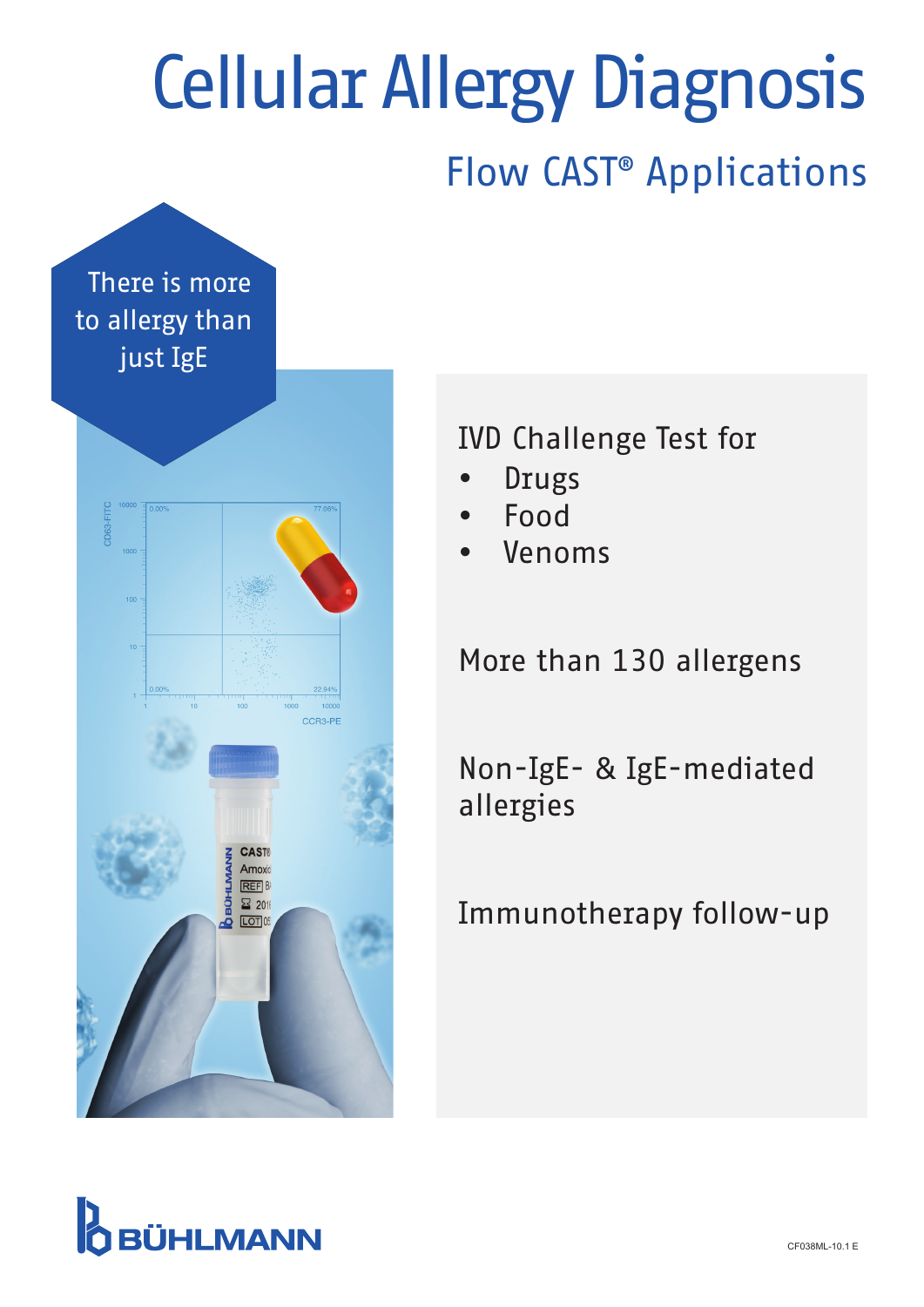# Flow CAST® Applications Cellular Allergy Diagnosis

There is more to allergy than just IgE



IVD Challenge Test for

- Drugs
- Food
- Venoms

More than 130 allergens

Non-IgE- & IgE-mediated allergies

Immunotherapy follow-up

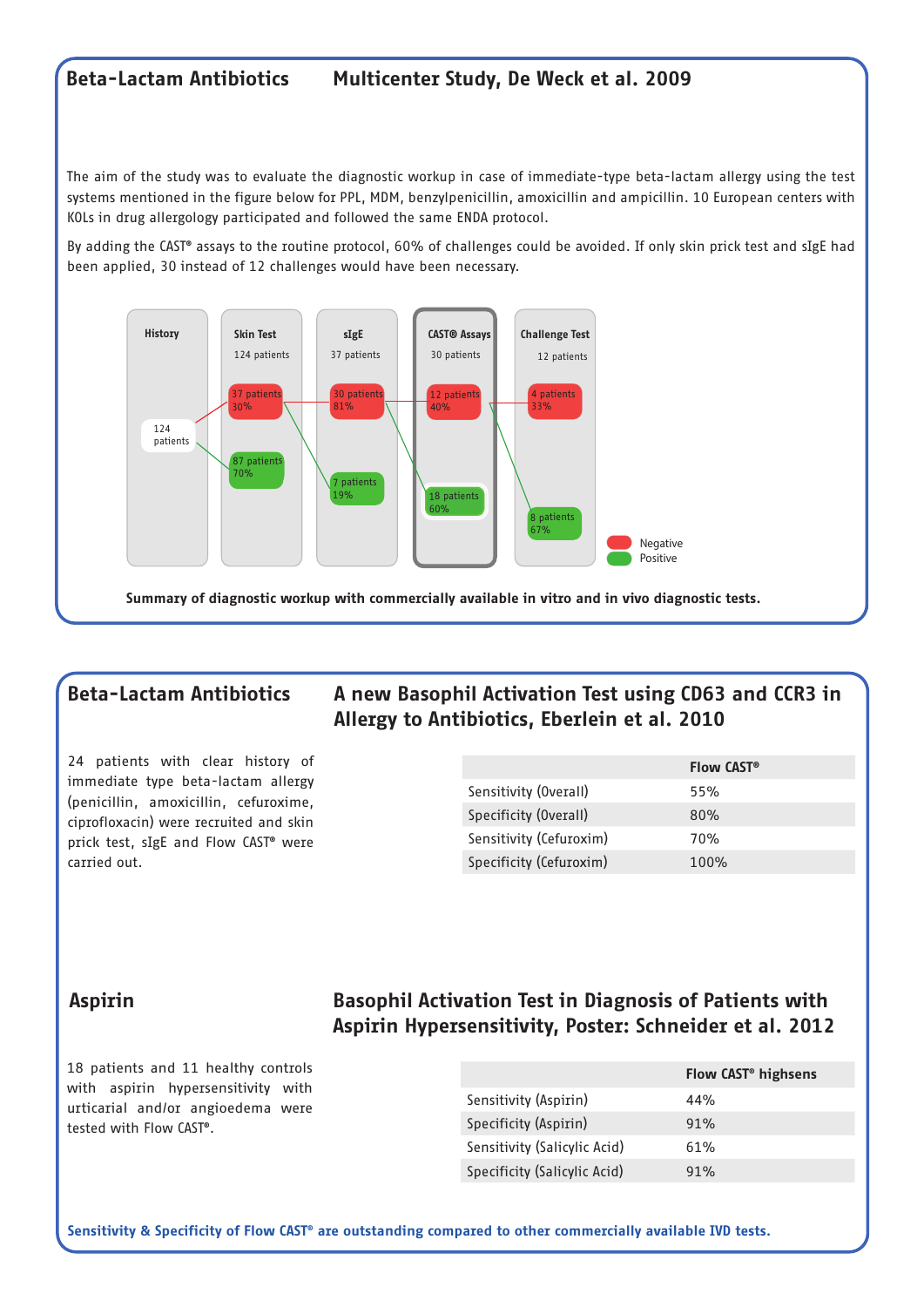### Beta-Lactam Antibiotics Multicenter Study, De Weck et al. 2009

The aim of the study was to evaluate the diagnostic workup in case of immediate-type beta-lactam allergy using the test systems mentioned in the figure below for PPL, MDM, benzylpenicillin, amoxicillin and ampicillin. 10 European centers with KOLs in drug allergology participated and followed the same ENDA protocol.

By adding the CAST® assays to the routine protocol, 60% of challenges could be avoided. If only skin prick test and sIgE had been applied, 30 instead of 12 challenges would have been necessary.



Summary of diagnostic workup with commercially available in vitro and in vivo diagnostic tests.

### Beta-Lactam Antibiotics A new Basophil Activation Test using CD63 and CCR3 in Allergy to Antibiotics, Eberlein et al. 2010

24 patients with clear history of immediate type beta-lactam allergy (penicillin, amoxicillin, cefuroxime, ciprofloxacin) were recruited and skin prick test, sIgE and Flow CAST® were carried out.

|                         | <b>Flow CAST<sup>®</sup></b> |
|-------------------------|------------------------------|
| Sensitivity (Overall)   | 55%                          |
| Specificity (Overall)   | 80%                          |
| Sensitivity (Cefuroxim) | 70%                          |
| Specificity (Cefuroxim) | $100\%$                      |

### Aspirin Basophil Activation Test in Diagnosis of Patients with Aspirin Hypersensitivity, Poster: Schneider et al. 2012

18 patients and 11 healthy controls with aspirin hypersensitivity with urticarial and/or angioedema were tested with Flow CAST®.

|                              | Flow CAST <sup>®</sup> highsens |
|------------------------------|---------------------------------|
| Sensitivity (Aspirin)        | 44%                             |
| Specificity (Aspirin)        | 91%                             |
| Sensitivity (Salicylic Acid) | 61%                             |
| Specificity (Salicylic Acid) | 91%                             |

Sensitivity & Specificity of Flow CAST® are outstanding compared to other commercially available IVD tests.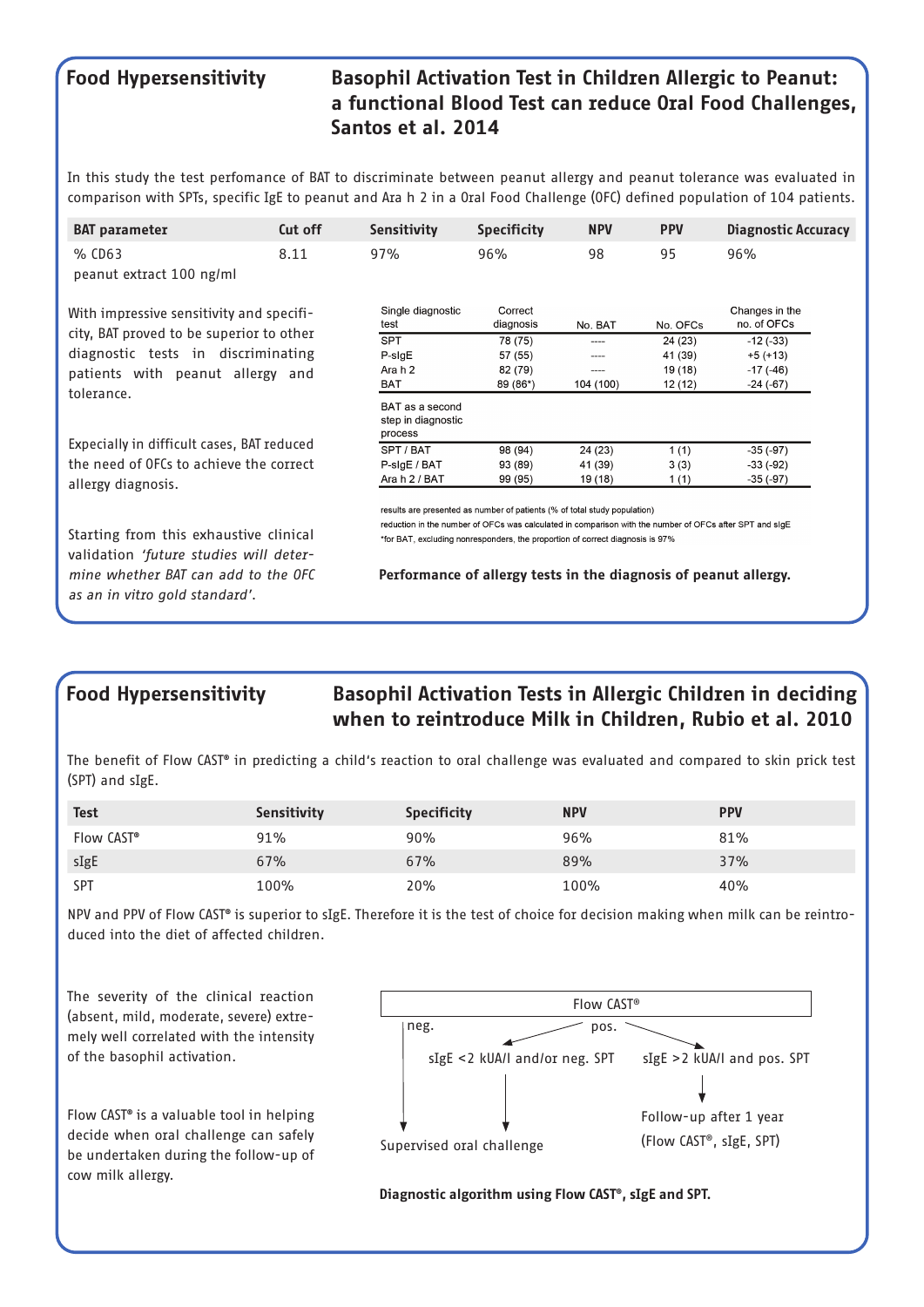### Food Hypersensitivity Basophil Activation Test in Children Allergic to Peanut: a functional Blood Test can reduce Oral Food Challenges, Santos et al. 2014

In this study the test perfomance of BAT to discriminate between peanut allergy and peanut tolerance was evaluated in comparison with SPTs, specific IgE to peanut and Ara h 2 in a Oral Food Challenge (OFC) defined population of 104 patients.

| <b>BAT</b> parameter                                                                                                                                           | Cut off                                                                                                                                                                                                                                                               | <b>Sensitivity</b>                               | <b>Specificity</b>   | <b>NPV</b> | <b>PPV</b> | <b>Diagnostic Accuracy</b>    |  |
|----------------------------------------------------------------------------------------------------------------------------------------------------------------|-----------------------------------------------------------------------------------------------------------------------------------------------------------------------------------------------------------------------------------------------------------------------|--------------------------------------------------|----------------------|------------|------------|-------------------------------|--|
| % CD63                                                                                                                                                         | 8.11                                                                                                                                                                                                                                                                  | 97%                                              | 96%                  | 98         | 95         | 96%                           |  |
| peanut extract 100 ng/ml                                                                                                                                       |                                                                                                                                                                                                                                                                       |                                                  |                      |            |            |                               |  |
| With impressive sensitivity and specifi-<br>city, BAT proved to be superior to other<br>diagnostic tests in discriminating<br>patients with peanut allergy and |                                                                                                                                                                                                                                                                       | Single diagnostic<br>test                        | Correct<br>diagnosis | No. BAT    | No. OFCs   | Changes in the<br>no. of OFCs |  |
|                                                                                                                                                                |                                                                                                                                                                                                                                                                       | <b>SPT</b>                                       | 78 (75)              | ----       | 24 (23)    | $-12(-33)$                    |  |
|                                                                                                                                                                |                                                                                                                                                                                                                                                                       | P-sigE                                           | 57 (55)              | ----       | 41 (39)    | $+5 (+13)$                    |  |
|                                                                                                                                                                |                                                                                                                                                                                                                                                                       | Ara h 2                                          | 82 (79)              | ----       | 19 (18)    | $-17(-46)$                    |  |
|                                                                                                                                                                |                                                                                                                                                                                                                                                                       | <b>BAT</b>                                       | 89 (86*)             | 104 (100)  | 12(12)     | $-24(-67)$                    |  |
| tolerance.                                                                                                                                                     |                                                                                                                                                                                                                                                                       | BAT as a second<br>step in diagnostic<br>process |                      |            |            |                               |  |
| Expecially in difficult cases, BAT reduced                                                                                                                     |                                                                                                                                                                                                                                                                       | SPT / BAT                                        | 98 (94)              | 24 (23)    | 1(1)       | $-35(-97)$                    |  |
| the need of OFCs to achieve the correct                                                                                                                        |                                                                                                                                                                                                                                                                       | P-sigE / BAT                                     | 93 (89)              | 41 (39)    | 3(3)       | $-33(-92)$                    |  |
| allergy diagnosis.                                                                                                                                             |                                                                                                                                                                                                                                                                       | Ara h 2 / BAT                                    | 99 (95)              | 19 (18)    | 1(1)       | $-35(-97)$                    |  |
| Starting from this exhaustive clinical<br>validation 'future studies will deter-                                                                               | results are presented as number of patients (% of total study population)<br>reduction in the number of OFCs was calculated in comparison with the number of OFCs after SPT and sIgE<br>*for BAT, excluding nonresponders, the proportion of correct diagnosis is 97% |                                                  |                      |            |            |                               |  |
| mine whether BAT can add to the OFC<br>as an in vitro gold standard'.                                                                                          | Performance of allergy tests in the diagnosis of peanut allergy.                                                                                                                                                                                                      |                                                  |                      |            |            |                               |  |

## Food Hypersensitivity Basophil Activation Tests in Allergic Children in deciding when to reintroduce Milk in Children, Rubio et al. 2010

The benefit of Flow CAST® in predicting a child's reaction to oral challenge was evaluated and compared to skin prick test (SPT) and sIgE.

| <b>Test</b>            | Sensitivity | <b>Specificity</b> | <b>NPV</b> | <b>PPV</b> |
|------------------------|-------------|--------------------|------------|------------|
| Flow CAST <sup>®</sup> | 91%         | 90%                | 96%        | 81%        |
| sIgE                   | 67%         | 67%                | 89%        | 37%        |
| <b>SPT</b>             | 100%        | 20%                | 100%       | 40%        |

NPV and PPV of Flow CAST® is superior to sIgE. Therefore it is the test of choice for decision making when milk can be reintroduced into the diet of affected children.

The severity of the clinical reaction (absent, mild, moderate, severe) extremely well correlated with the intensity of the basophil activation.

Flow CAST® is a valuable tool in helping decide when oral challenge can safely be undertaken during the follow-up of cow milk allergy.



Diagnostic algorithm using Flow CAST®, sIgE and SPT.